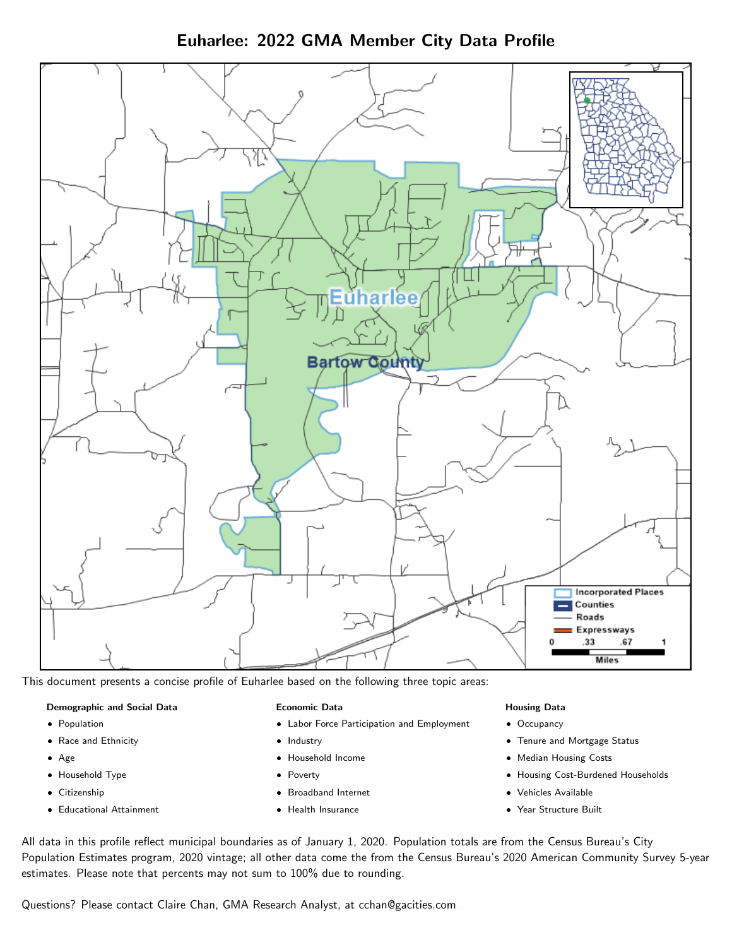Euharlee: 2022 GMA Member City Data Profile



This document presents a concise profile of Euharlee based on the following three topic areas:

#### Demographic and Social Data

- **•** Population
- Race and Ethnicity
- Age
- Household Type
- **Citizenship**
- Educational Attainment

#### Economic Data

- Labor Force Participation and Employment
- Industry
- Household Income
- Poverty
- Broadband Internet
- Health Insurance

#### Housing Data

- Occupancy
- Tenure and Mortgage Status
- Median Housing Costs
- Housing Cost-Burdened Households
- Vehicles Available
- Year Structure Built

All data in this profile reflect municipal boundaries as of January 1, 2020. Population totals are from the Census Bureau's City Population Estimates program, 2020 vintage; all other data come the from the Census Bureau's 2020 American Community Survey 5-year estimates. Please note that percents may not sum to 100% due to rounding.

Questions? Please contact Claire Chan, GMA Research Analyst, at [cchan@gacities.com.](mailto:cchan@gacities.com)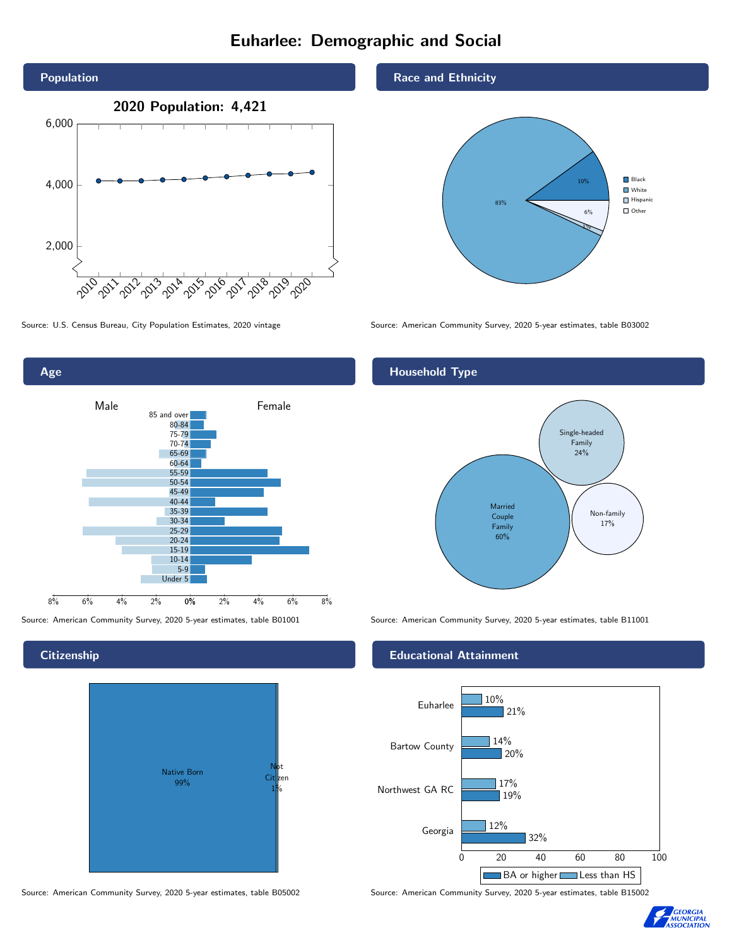# Euharlee: Demographic and Social





## **Citizenship**



Source: American Community Survey, 2020 5-year estimates, table B05002 Source: American Community Survey, 2020 5-year estimates, table B15002

#### Race and Ethnicity



Source: U.S. Census Bureau, City Population Estimates, 2020 vintage Source: American Community Survey, 2020 5-year estimates, table B03002

# Household Type



Source: American Community Survey, 2020 5-year estimates, table B01001 Source: American Community Survey, 2020 5-year estimates, table B11001

#### Educational Attainment



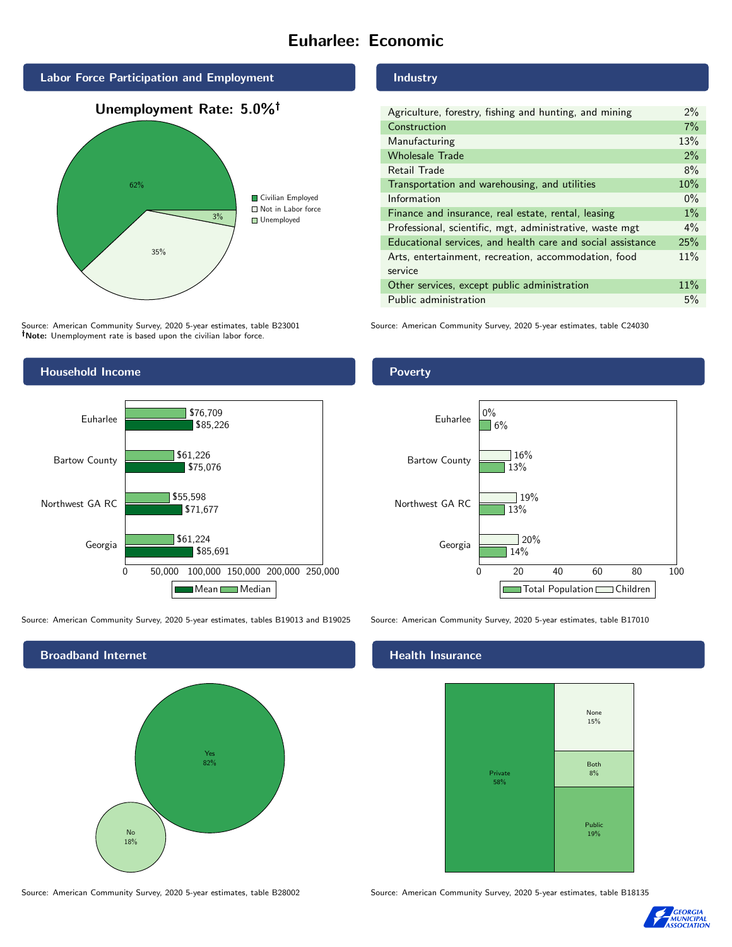# Euharlee: Economic







Source: American Community Survey, 2020 5-year estimates, table B23001 Note: Unemployment rate is based upon the civilian labor force.



Source: American Community Survey, 2020 5-year estimates, tables B19013 and B19025 Source: American Community Survey, 2020 5-year estimates, table B17010



Source: American Community Survey, 2020 5-year estimates, table B28002 Source: American Community Survey, 2020 5-year estimates, table B18135

#### Industry

| Agriculture, forestry, fishing and hunting, and mining      | $2\%$ |
|-------------------------------------------------------------|-------|
| Construction                                                | 7%    |
| Manufacturing                                               | 13%   |
| <b>Wholesale Trade</b>                                      | 2%    |
| Retail Trade                                                | 8%    |
| Transportation and warehousing, and utilities               | 10%   |
| Information                                                 | $0\%$ |
| Finance and insurance, real estate, rental, leasing         | $1\%$ |
| Professional, scientific, mgt, administrative, waste mgt    | $4\%$ |
| Educational services, and health care and social assistance | 25%   |
| Arts, entertainment, recreation, accommodation, food        | 11%   |
| service                                                     |       |
| Other services, except public administration                | 11%   |
| Public administration                                       | 5%    |

Source: American Community Survey, 2020 5-year estimates, table C24030

## Poverty



# **Health Insurance**